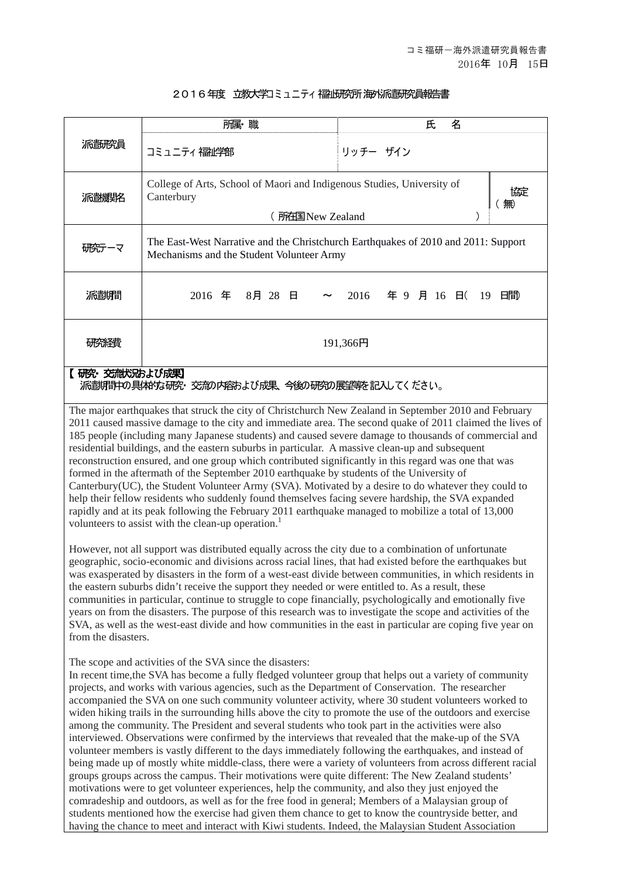## 2016年度 立教大学コミュニティ福州研究所海外派電研究員報告書

|            | 所属·職                                                                                                                            | 名<br>氏                      |
|------------|---------------------------------------------------------------------------------------------------------------------------------|-----------------------------|
| 派鄙歌員       | コミュニティ福祉学部                                                                                                                      | リッチー ザイン                    |
| 派遣機聚       | College of Arts, School of Maori and Indigenous Studies, University of<br>脲<br>Canterbury<br>無<br>(所在国 New Zealand              |                             |
| 研究テーマ      | The East-West Narrative and the Christchurch Earthquakes of 2010 and 2011: Support<br>Mechanisms and the Student Volunteer Army |                             |
| 派翻澗        | 2016 年 8月 28 日<br>$\sim$                                                                                                        | 年 9 月 16 日(19<br>日間<br>2016 |
|            | 191,366円                                                                                                                        |                             |
| 交流状況および成果】 |                                                                                                                                 |                             |

派遣期間中の具体的な研究・ 交流の内容および成果、今後の研究の展望等を記入してく ださい。

The major earthquakes that struck the city of Christchurch New Zealand in September 2010 and February 2011 caused massive damage to the city and immediate area. The second quake of 2011 claimed the lives of 185 people (including many Japanese students) and caused severe damage to thousands of commercial and residential buildings, and the eastern suburbs in particular. A massive clean-up and subsequent reconstruction ensured, and one group which contributed significantly in this regard was one that was formed in the aftermath of the September 2010 earthquake by students of the University of Canterbury(UC), the Student Volunteer Army (SVA). Motivated by a desire to do whatever they could to help their fellow residents who suddenly found themselves facing severe hardship, the SVA expanded rapidly and at its peak following the February 2011 earthquake managed to mobilize a total of 13,000 volunteers to assist with the clean-up operation.<sup>1</sup>

However, not all support was distributed equally across the city due to a combination of unfortunate geographic, socio-economic and divisions across racial lines, that had existed before the earthquakes but was exasperated by disasters in the form of a west-east divide between communities, in which residents in the eastern suburbs didn't receive the support they needed or were entitled to. As a result, these communities in particular, continue to struggle to cope financially, psychologically and emotionally five years on from the disasters. The purpose of this research was to investigate the scope and activities of the SVA, as well as the west-east divide and how communities in the east in particular are coping five year on from the disasters.

The scope and activities of the SVA since the disasters:

In recent time,the SVA has become a fully fledged volunteer group that helps out a variety of community projects, and works with various agencies, such as the Department of Conservation. The researcher accompanied the SVA on one such community volunteer activity, where 30 student volunteers worked to widen hiking trails in the surrounding hills above the city to promote the use of the outdoors and exercise among the community. The President and several students who took part in the activities were also interviewed. Observations were confirmed by the interviews that revealed that the make-up of the SVA volunteer members is vastly different to the days immediately following the earthquakes, and instead of being made up of mostly white middle-class, there were a variety of volunteers from across different racial groups groups across the campus. Their motivations were quite different: The New Zealand students' motivations were to get volunteer experiences, help the community, and also they just enjoyed the comradeship and outdoors, as well as for the free food in general; Members of a Malaysian group of students mentioned how the exercise had given them chance to get to know the countryside better, and having the chance to meet and interact with Kiwi students. Indeed, the Malaysian Student Association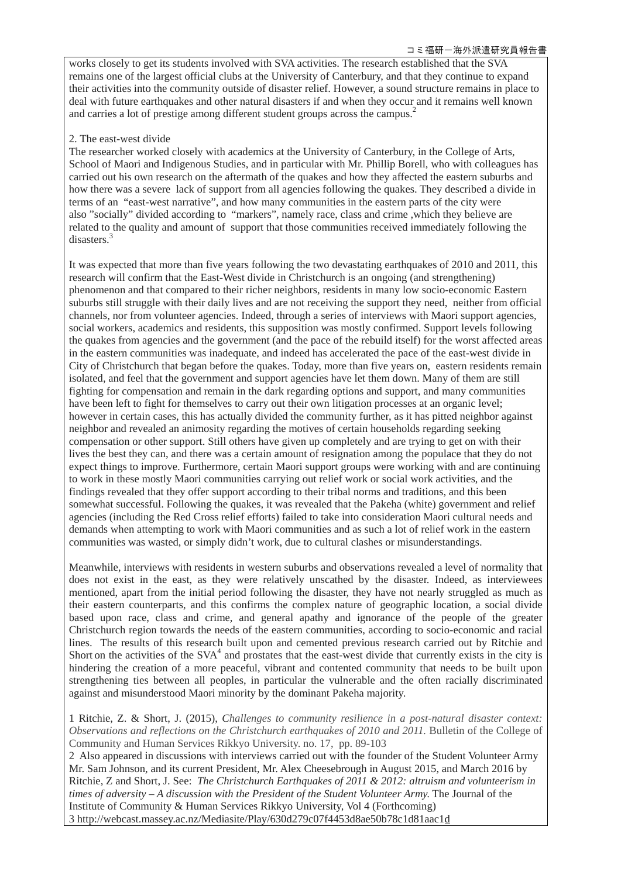works closely to get its students involved with SVA activities. The research established that the SVA remains one of the largest official clubs at the University of Canterbury, and that they continue to expand their activities into the community outside of disaster relief. However, a sound structure remains in place to deal with future earthquakes and other natural disasters if and when they occur and it remains well known and carries a lot of prestige among different student groups across the campus.<sup>2</sup>

## 2. The east-west divide

The researcher worked closely with academics at the University of Canterbury, in the College of Arts, School of Maori and Indigenous Studies, and in particular with Mr. Phillip Borell, who with colleagues has carried out his own research on the aftermath of the quakes and how they affected the eastern suburbs and how there was a severe lack of support from all agencies following the quakes. They described a divide in terms of an "east-west narrative", and how many communities in the eastern parts of the city were also "socially" divided according to "markers", namely race, class and crime ,which they believe are related to the quality and amount of support that those communities received immediately following the disasters.<sup>3</sup>

It was expected that more than five years following the two devastating earthquakes of 2010 and 2011, this research will confirm that the East-West divide in Christchurch is an ongoing (and strengthening) phenomenon and that compared to their richer neighbors, residents in many low socio-economic Eastern suburbs still struggle with their daily lives and are not receiving the support they need, neither from official channels, nor from volunteer agencies. Indeed, through a series of interviews with Maori support agencies, social workers, academics and residents, this supposition was mostly confirmed. Support levels following the quakes from agencies and the government (and the pace of the rebuild itself) for the worst affected areas in the eastern communities was inadequate, and indeed has accelerated the pace of the east-west divide in City of Christchurch that began before the quakes. Today, more than five years on, eastern residents remain isolated, and feel that the government and support agencies have let them down. Many of them are still fighting for compensation and remain in the dark regarding options and support, and many communities have been left to fight for themselves to carry out their own litigation processes at an organic level; however in certain cases, this has actually divided the community further, as it has pitted neighbor against neighbor and revealed an animosity regarding the motives of certain households regarding seeking compensation or other support. Still others have given up completely and are trying to get on with their lives the best they can, and there was a certain amount of resignation among the populace that they do not expect things to improve. Furthermore, certain Maori support groups were working with and are continuing to work in these mostly Maori communities carrying out relief work or social work activities, and the findings revealed that they offer support according to their tribal norms and traditions, and this been somewhat successful. Following the quakes, it was revealed that the Pakeha (white) government and relief agencies (including the Red Cross relief efforts) failed to take into consideration Maori cultural needs and demands when attempting to work with Maori communities and as such a lot of relief work in the eastern communities was wasted, or simply didn't work, due to cultural clashes or misunderstandings.

Meanwhile, interviews with residents in western suburbs and observations revealed a level of normality that does not exist in the east, as they were relatively unscathed by the disaster. Indeed, as interviewees mentioned, apart from the initial period following the disaster, they have not nearly struggled as much as their eastern counterparts, and this confirms the complex nature of geographic location, a social divide based upon race, class and crime, and general apathy and ignorance of the people of the greater Christchurch region towards the needs of the eastern communities, according to socio-economic and racial lines. The results of this research built upon and cemented previous research carried out by Ritchie and Short on the activities of the  $SVA<sup>4</sup>$  and prostates that the east-west divide that currently exists in the city is hindering the creation of a more peaceful, vibrant and contented community that needs to be built upon strengthening ties between all peoples, in particular the vulnerable and the often racially discriminated against and misunderstood Maori minority by the dominant Pakeha majority.

1 Ritchie, Z. & Short, J. (2015), *Challenges to community resilience in a post-natural disaster context: Observations and reflections on the Christchurch earthquakes of 2010 and 2011*. Bulletin of the College of Community and Human Services Rikkyo University. no. 17, pp. 89-103

2 Also appeared in discussions with interviews carried out with the founder of the Student Volunteer Army Mr. Sam Johnson, and its current President, Mr. Alex Cheesebrough in August 2015, and March 2016 by Ritchie, Z and Short, J. See: *The Christchurch Earthquakes of 2011 & 2012: altruism and volunteerism in times of adversity – A discussion with the President of the Student Volunteer Army.* The Journal of the Institute of Community & Human Services Rikkyo University, Vol 4 (Forthcoming) 3 http://webcast.massey.ac.nz/Mediasite/Play/630d279c07f4453d8ae50b78c1d81aac1d